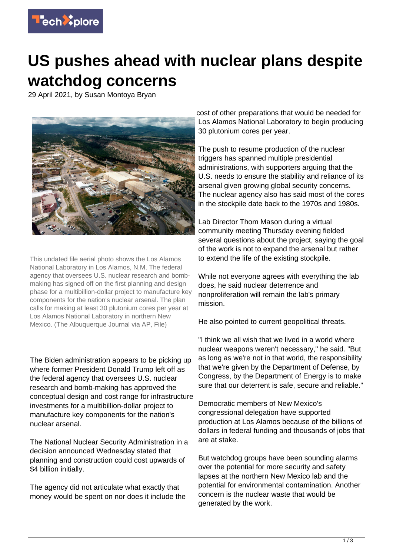

## **US pushes ahead with nuclear plans despite watchdog concerns**

29 April 2021, by Susan Montoya Bryan



This undated file aerial photo shows the Los Alamos National Laboratory in Los Alamos, N.M. The federal agency that oversees U.S. nuclear research and bombmaking has signed off on the first planning and design phase for a multibillion-dollar project to manufacture key components for the nation's nuclear arsenal. The plan calls for making at least 30 plutonium cores per year at Los Alamos National Laboratory in northern New Mexico. (The Albuquerque Journal via AP, File)

The Biden administration appears to be picking up where former President Donald Trump left off as the federal agency that oversees U.S. nuclear research and bomb-making has approved the conceptual design and cost range for infrastructure investments for a multibillion-dollar project to manufacture key components for the nation's nuclear arsenal.

The National Nuclear Security Administration in a decision announced Wednesday stated that planning and construction could cost upwards of \$4 billion initially.

The agency did not articulate what exactly that money would be spent on nor does it include the cost of other preparations that would be needed for Los Alamos National Laboratory to begin producing 30 plutonium cores per year.

The push to resume production of the nuclear triggers has spanned multiple presidential administrations, with supporters arguing that the U.S. needs to ensure the stability and reliance of its arsenal given growing global security concerns. The nuclear agency also has said most of the cores in the stockpile date back to the 1970s and 1980s.

Lab Director Thom Mason during a virtual community meeting Thursday evening fielded several questions about the project, saying the goal of the work is not to expand the arsenal but rather to extend the life of the existing stockpile.

While not everyone agrees with everything the lab does, he said nuclear deterrence and nonproliferation will remain the lab's primary mission.

He also pointed to current geopolitical threats.

"I think we all wish that we lived in a world where nuclear weapons weren't necessary," he said. "But as long as we're not in that world, the responsibility that we're given by the Department of Defense, by Congress, by the Department of Energy is to make sure that our deterrent is safe, secure and reliable."

Democratic members of New Mexico's congressional delegation have supported production at Los Alamos because of the billions of dollars in federal funding and thousands of jobs that are at stake.

But watchdog groups have been sounding alarms over the potential for more security and safety lapses at the northern New Mexico lab and the potential for environmental contamination. Another concern is the nuclear waste that would be generated by the work.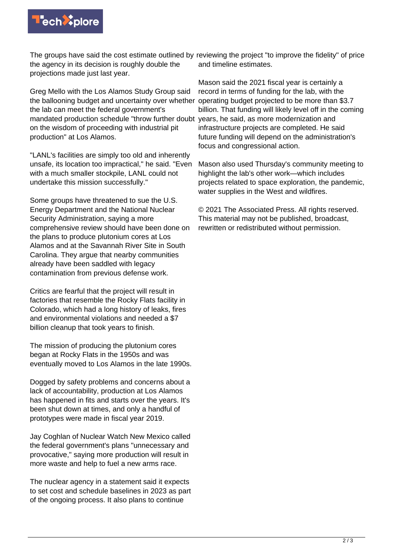

the agency in its decision is roughly double the projections made just last year.

Greg Mello with the Los Alamos Study Group said the ballooning budget and uncertainty over whether operating budget projected to be more than \$3.7 the lab can meet the federal government's mandated production schedule "throw further doubt on the wisdom of proceeding with industrial pit production" at Los Alamos.

"LANL's facilities are simply too old and inherently unsafe, its location too impractical," he said. "Even with a much smaller stockpile, LANL could not undertake this mission successfully."

Some groups have threatened to sue the U.S. Energy Department and the National Nuclear Security Administration, saying a more comprehensive review should have been done on the plans to produce plutonium cores at Los Alamos and at the Savannah River Site in South Carolina. They argue that nearby communities already have been saddled with legacy contamination from previous defense work.

Critics are fearful that the project will result in factories that resemble the Rocky Flats facility in Colorado, which had a long history of leaks, fires and environmental violations and needed a \$7 billion cleanup that took years to finish.

The mission of producing the plutonium cores began at Rocky Flats in the 1950s and was eventually moved to Los Alamos in the late 1990s.

Dogged by safety problems and concerns about a lack of accountability, production at Los Alamos has happened in fits and starts over the years. It's been shut down at times, and only a handful of prototypes were made in fiscal year 2019.

Jay Coghlan of Nuclear Watch New Mexico called the federal government's plans "unnecessary and provocative," saying more production will result in more waste and help to fuel a new arms race.

The nuclear agency in a statement said it expects to set cost and schedule baselines in 2023 as part of the ongoing process. It also plans to continue

The groups have said the cost estimate outlined by reviewing the project "to improve the fidelity" of price and timeline estimates.

> Mason said the 2021 fiscal year is certainly a record in terms of funding for the lab, with the billion. That funding will likely level off in the coming years, he said, as more modernization and infrastructure projects are completed. He said future funding will depend on the administration's focus and congressional action.

> Mason also used Thursday's community meeting to highlight the lab's other work—which includes projects related to space exploration, the pandemic, water supplies in the West and wildfires.

© 2021 The Associated Press. All rights reserved. This material may not be published, broadcast, rewritten or redistributed without permission.